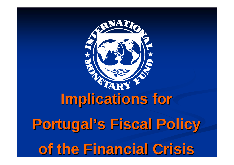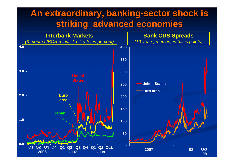## An extraordinary, banking-sector shock is **striking advanced economies striking advanced economies**

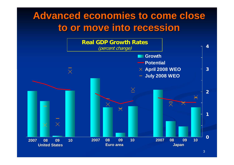## Advanced economies to come close **to or move into recession to or move into recession**

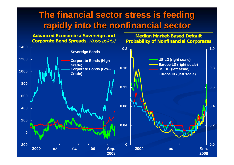## **The financial sector stress is feeding rapidly into the nonfinancial sector rapidly into the nonfinancial sector**

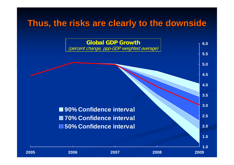## **Thus, the risks are clearly to the downside Thus, the risks are clearly to the downside**

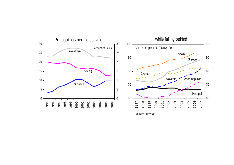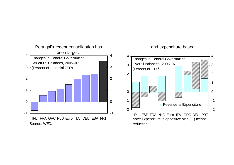

...and expenditure based

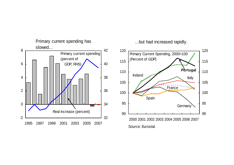

...but had increased rapidly.

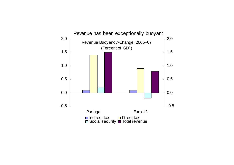